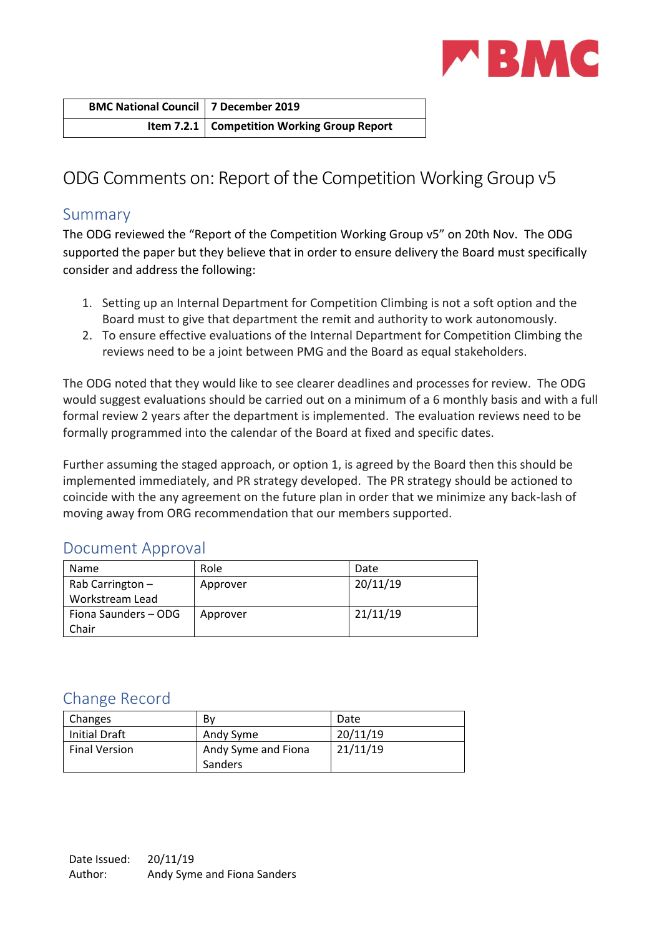

| <b>BMC National Council   7 December 2019</b> |                                               |
|-----------------------------------------------|-----------------------------------------------|
|                                               | Item 7.2.1   Competition Working Group Report |

# ODG Comments on: Report of the Competition Working Group v5

## Summary

The ODG reviewed the "Report of the Competition Working Group v5" on 20th Nov. The ODG supported the paper but they believe that in order to ensure delivery the Board must specifically consider and address the following:

- 1. Setting up an Internal Department for Competition Climbing is not a soft option and the Board must to give that department the remit and authority to work autonomously.
- 2. To ensure effective evaluations of the Internal Department for Competition Climbing the reviews need to be a joint between PMG and the Board as equal stakeholders.

The ODG noted that they would like to see clearer deadlines and processes for review. The ODG would suggest evaluations should be carried out on a minimum of a 6 monthly basis and with a full formal review 2 years after the department is implemented. The evaluation reviews need to be formally programmed into the calendar of the Board at fixed and specific dates.

Further assuming the staged approach, or option 1, is agreed by the Board then this should be implemented immediately, and PR strategy developed. The PR strategy should be actioned to coincide with the any agreement on the future plan in order that we minimize any back-lash of moving away from ORG recommendation that our members supported.

# Document Approval

| Name                 | Role     | Date     |
|----------------------|----------|----------|
| Rab Carrington $-$   | Approver | 20/11/19 |
| Workstream Lead      |          |          |
| Fiona Saunders - ODG | Approver | 21/11/19 |
| Chair                |          |          |

# Change Record

| Changes              | Bv                  | Date     |
|----------------------|---------------------|----------|
| Initial Draft        | Andy Syme           | 20/11/19 |
| <b>Final Version</b> | Andy Syme and Fiona | 21/11/19 |
|                      | Sanders             |          |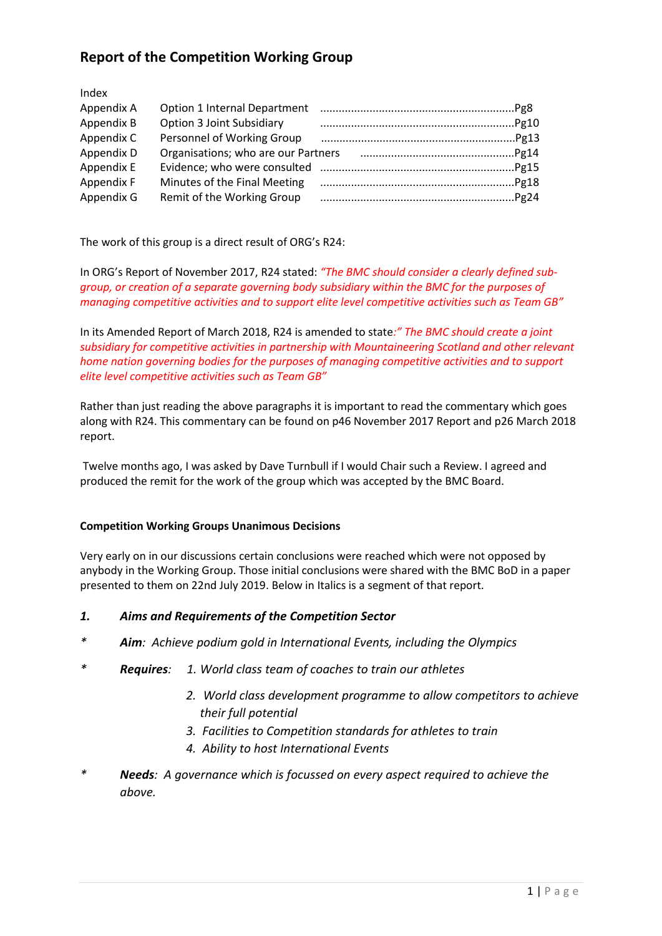# **Report of the Competition Working Group**

Index

| Appendix A | Option 1 Internal Department        |  |
|------------|-------------------------------------|--|
| Appendix B | <b>Option 3 Joint Subsidiary</b>    |  |
| Appendix C | Personnel of Working Group          |  |
| Appendix D | Organisations; who are our Partners |  |
| Appendix E |                                     |  |
| Appendix F | Minutes of the Final Meeting        |  |
| Appendix G | Remit of the Working Group          |  |

The work of this group is a direct result of ORG's R24:

In ORG's Report of November 2017, R24 stated: *"The BMC should consider a clearly defined subgroup, or creation of a separate governing body subsidiary within the BMC for the purposes of managing competitive activities and to support elite level competitive activities such as Team GB"*

In its Amended Report of March 2018, R24 is amended to state*:" The BMC should create a joint subsidiary for competitive activities in partnership with Mountaineering Scotland and other relevant home nation governing bodies for the purposes of managing competitive activities and to support elite level competitive activities such as Team GB"*

Rather than just reading the above paragraphs it is important to read the commentary which goes along with R24. This commentary can be found on p46 November 2017 Report and p26 March 2018 report.

Twelve months ago, I was asked by Dave Turnbull if I would Chair such a Review. I agreed and produced the remit for the work of the group which was accepted by the BMC Board.

#### **Competition Working Groups Unanimous Decisions**

Very early on in our discussions certain conclusions were reached which were not opposed by anybody in the Working Group. Those initial conclusions were shared with the BMC BoD in a paper presented to them on 22nd July 2019. Below in Italics is a segment of that report.

## *1. Aims and Requirements of the Competition Sector*

- *\* Aim: Achieve podium gold in International Events, including the Olympics*
- *\* Requires: 1. World class team of coaches to train our athletes*
	- *2. World class development programme to allow competitors to achieve their full potential*
	- *3. Facilities to Competition standards for athletes to train*
	- *4. Ability to host International Events*
- *\* Needs: A governance which is focussed on every aspect required to achieve the above.*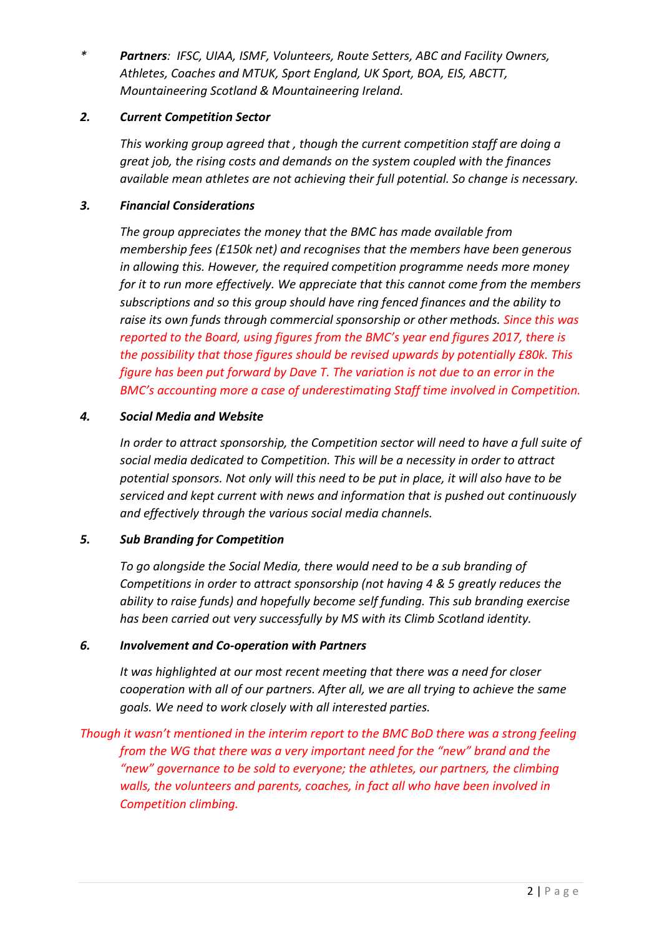*\* Partners: IFSC, UIAA, ISMF, Volunteers, Route Setters, ABC and Facility Owners, Athletes, Coaches and MTUK, Sport England, UK Sport, BOA, EIS, ABCTT, Mountaineering Scotland & Mountaineering Ireland.*

## *2. Current Competition Sector*

*This working group agreed that , though the current competition staff are doing a great job, the rising costs and demands on the system coupled with the finances available mean athletes are not achieving their full potential. So change is necessary.*

## *3. Financial Considerations*

*The group appreciates the money that the BMC has made available from membership fees (£150k net) and recognises that the members have been generous in allowing this. However, the required competition programme needs more money for it to run more effectively. We appreciate that this cannot come from the members subscriptions and so this group should have ring fenced finances and the ability to raise its own funds through commercial sponsorship or other methods. Since this was reported to the Board, using figures from the BMC's year end figures 2017, there is the possibility that those figures should be revised upwards by potentially £80k. This figure has been put forward by Dave T. The variation is not due to an error in the BMC's accounting more a case of underestimating Staff time involved in Competition.*

## *4. Social Media and Website*

*In order to attract sponsorship, the Competition sector will need to have a full suite of social media dedicated to Competition. This will be a necessity in order to attract potential sponsors. Not only will this need to be put in place, it will also have to be serviced and kept current with news and information that is pushed out continuously and effectively through the various social media channels.*

## *5. Sub Branding for Competition*

*To go alongside the Social Media, there would need to be a sub branding of Competitions in order to attract sponsorship (not having 4 & 5 greatly reduces the ability to raise funds) and hopefully become self funding. This sub branding exercise has been carried out very successfully by MS with its Climb Scotland identity.*

## *6. Involvement and Co-operation with Partners*

*It was highlighted at our most recent meeting that there was a need for closer cooperation with all of our partners. After all, we are all trying to achieve the same goals. We need to work closely with all interested parties.*

*Though it wasn't mentioned in the interim report to the BMC BoD there was a strong feeling from the WG that there was a very important need for the "new" brand and the "new" governance to be sold to everyone; the athletes, our partners, the climbing walls, the volunteers and parents, coaches, in fact all who have been involved in Competition climbing.*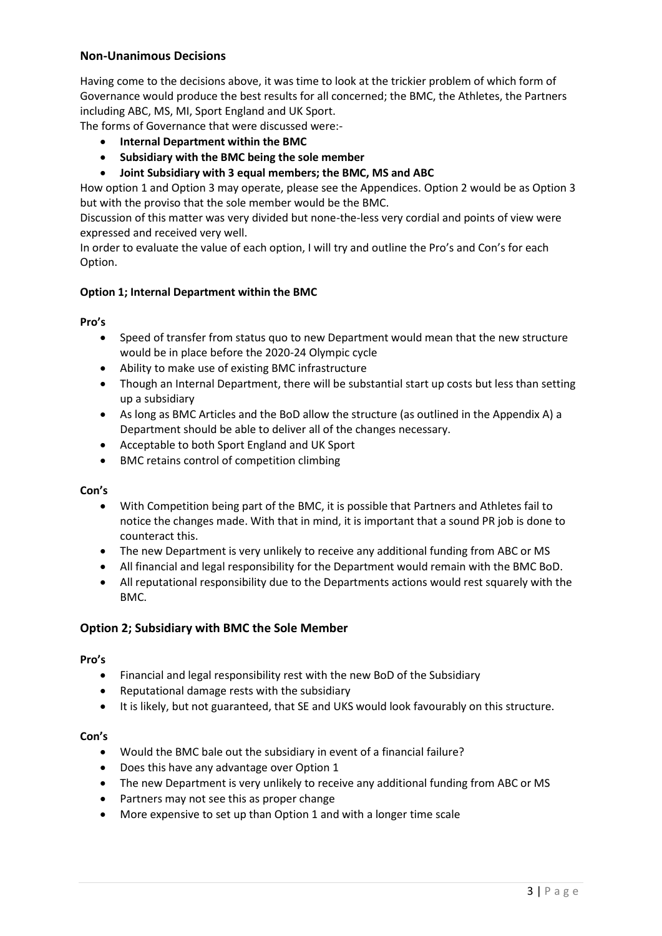## **Non-Unanimous Decisions**

Having come to the decisions above, it was time to look at the trickier problem of which form of Governance would produce the best results for all concerned; the BMC, the Athletes, the Partners including ABC, MS, MI, Sport England and UK Sport.

The forms of Governance that were discussed were:-

- **Internal Department within the BMC**
- **Subsidiary with the BMC being the sole member**
- **Joint Subsidiary with 3 equal members; the BMC, MS and ABC**

How option 1 and Option 3 may operate, please see the Appendices. Option 2 would be as Option 3 but with the proviso that the sole member would be the BMC.

Discussion of this matter was very divided but none-the-less very cordial and points of view were expressed and received very well.

In order to evaluate the value of each option, I will try and outline the Pro's and Con's for each Option.

#### **Option 1; Internal Department within the BMC**

#### **Pro's**

- Speed of transfer from status quo to new Department would mean that the new structure would be in place before the 2020-24 Olympic cycle
- Ability to make use of existing BMC infrastructure
- Though an Internal Department, there will be substantial start up costs but less than setting up a subsidiary
- As long as BMC Articles and the BoD allow the structure (as outlined in the Appendix A) a Department should be able to deliver all of the changes necessary.
- Acceptable to both Sport England and UK Sport
- BMC retains control of competition climbing

#### **Con's**

- With Competition being part of the BMC, it is possible that Partners and Athletes fail to notice the changes made. With that in mind, it is important that a sound PR job is done to counteract this.
- The new Department is very unlikely to receive any additional funding from ABC or MS
- All financial and legal responsibility for the Department would remain with the BMC BoD.
- All reputational responsibility due to the Departments actions would rest squarely with the BMC.

#### **Option 2; Subsidiary with BMC the Sole Member**

#### **Pro's**

- Financial and legal responsibility rest with the new BoD of the Subsidiary
- Reputational damage rests with the subsidiary
- It is likely, but not guaranteed, that SE and UKS would look favourably on this structure.

#### **Con's**

- Would the BMC bale out the subsidiary in event of a financial failure?
- Does this have any advantage over Option 1
- The new Department is very unlikely to receive any additional funding from ABC or MS
- Partners may not see this as proper change
- More expensive to set up than Option 1 and with a longer time scale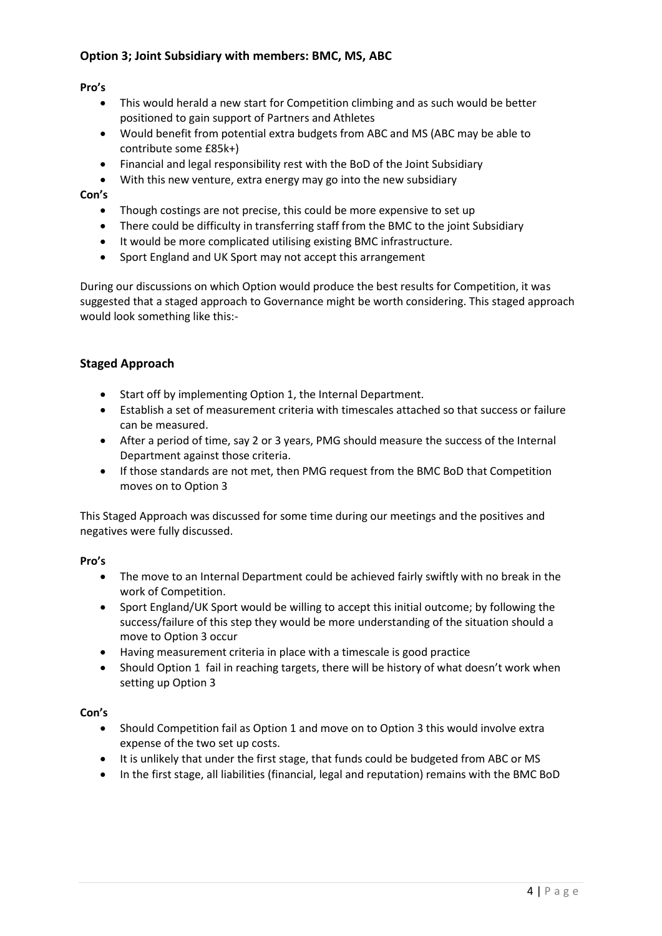## **Option 3; Joint Subsidiary with members: BMC, MS, ABC**

**Pro's**

- This would herald a new start for Competition climbing and as such would be better positioned to gain support of Partners and Athletes
- Would benefit from potential extra budgets from ABC and MS (ABC may be able to contribute some £85k+)
- Financial and legal responsibility rest with the BoD of the Joint Subsidiary
- With this new venture, extra energy may go into the new subsidiary

#### **Con's**

- Though costings are not precise, this could be more expensive to set up
- There could be difficulty in transferring staff from the BMC to the joint Subsidiary
- It would be more complicated utilising existing BMC infrastructure.
- Sport England and UK Sport may not accept this arrangement

During our discussions on which Option would produce the best results for Competition, it was suggested that a staged approach to Governance might be worth considering. This staged approach would look something like this:-

#### **Staged Approach**

- Start off by implementing Option 1, the Internal Department.
- Establish a set of measurement criteria with timescales attached so that success or failure can be measured.
- After a period of time, say 2 or 3 years, PMG should measure the success of the Internal Department against those criteria.
- If those standards are not met, then PMG request from the BMC BoD that Competition moves on to Option 3

This Staged Approach was discussed for some time during our meetings and the positives and negatives were fully discussed.

#### **Pro's**

- The move to an Internal Department could be achieved fairly swiftly with no break in the work of Competition.
- Sport England/UK Sport would be willing to accept this initial outcome; by following the success/failure of this step they would be more understanding of the situation should a move to Option 3 occur
- Having measurement criteria in place with a timescale is good practice
- Should Option 1 fail in reaching targets, there will be history of what doesn't work when setting up Option 3

#### **Con's**

- Should Competition fail as Option 1 and move on to Option 3 this would involve extra expense of the two set up costs.
- It is unlikely that under the first stage, that funds could be budgeted from ABC or MS
- In the first stage, all liabilities (financial, legal and reputation) remains with the BMC BoD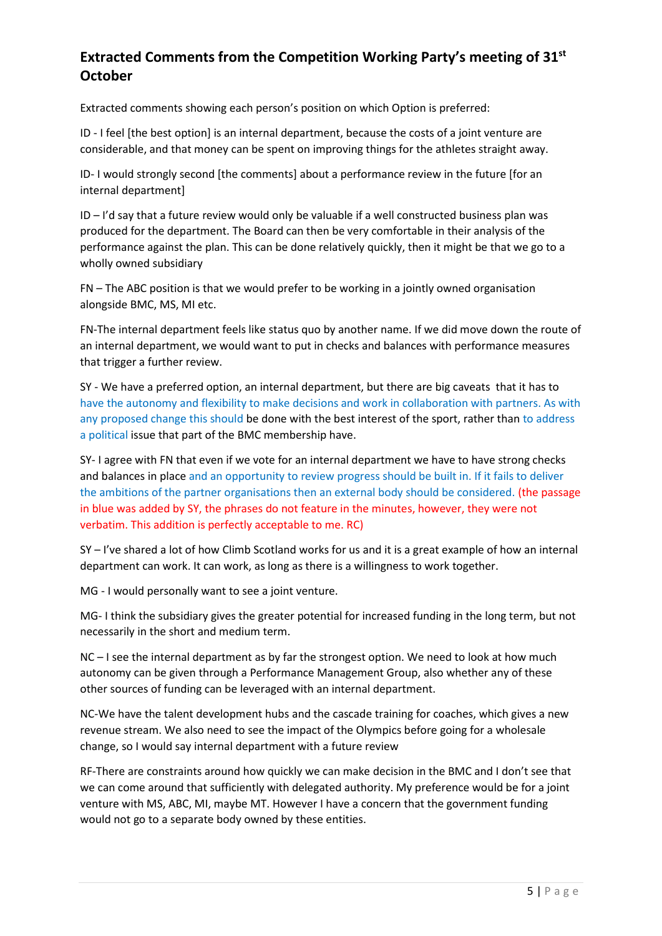# **Extracted Comments from the Competition Working Party's meeting of 31st October**

Extracted comments showing each person's position on which Option is preferred:

ID - I feel [the best option] is an internal department, because the costs of a joint venture are considerable, and that money can be spent on improving things for the athletes straight away.

ID- I would strongly second [the comments] about a performance review in the future [for an internal department]

ID – I'd say that a future review would only be valuable if a well constructed business plan was produced for the department. The Board can then be very comfortable in their analysis of the performance against the plan. This can be done relatively quickly, then it might be that we go to a wholly owned subsidiary

FN – The ABC position is that we would prefer to be working in a jointly owned organisation alongside BMC, MS, MI etc.

FN-The internal department feels like status quo by another name. If we did move down the route of an internal department, we would want to put in checks and balances with performance measures that trigger a further review.

SY - We have a preferred option, an internal department, but there are big caveats that it has to have the autonomy and flexibility to make decisions and work in collaboration with partners. As with any proposed change this should be done with the best interest of the sport, rather than to address a political issue that part of the BMC membership have.

SY- I agree with FN that even if we vote for an internal department we have to have strong checks and balances in place and an opportunity to review progress should be built in. If it fails to deliver the ambitions of the partner organisations then an external body should be considered. (the passage in blue was added by SY, the phrases do not feature in the minutes, however, they were not verbatim. This addition is perfectly acceptable to me. RC)

SY – I've shared a lot of how Climb Scotland works for us and it is a great example of how an internal department can work. It can work, as long as there is a willingness to work together.

MG - I would personally want to see a joint venture.

MG- I think the subsidiary gives the greater potential for increased funding in the long term, but not necessarily in the short and medium term.

NC – I see the internal department as by far the strongest option. We need to look at how much autonomy can be given through a Performance Management Group, also whether any of these other sources of funding can be leveraged with an internal department.

NC-We have the talent development hubs and the cascade training for coaches, which gives a new revenue stream. We also need to see the impact of the Olympics before going for a wholesale change, so I would say internal department with a future review

RF-There are constraints around how quickly we can make decision in the BMC and I don't see that we can come around that sufficiently with delegated authority. My preference would be for a joint venture with MS, ABC, MI, maybe MT. However I have a concern that the government funding would not go to a separate body owned by these entities.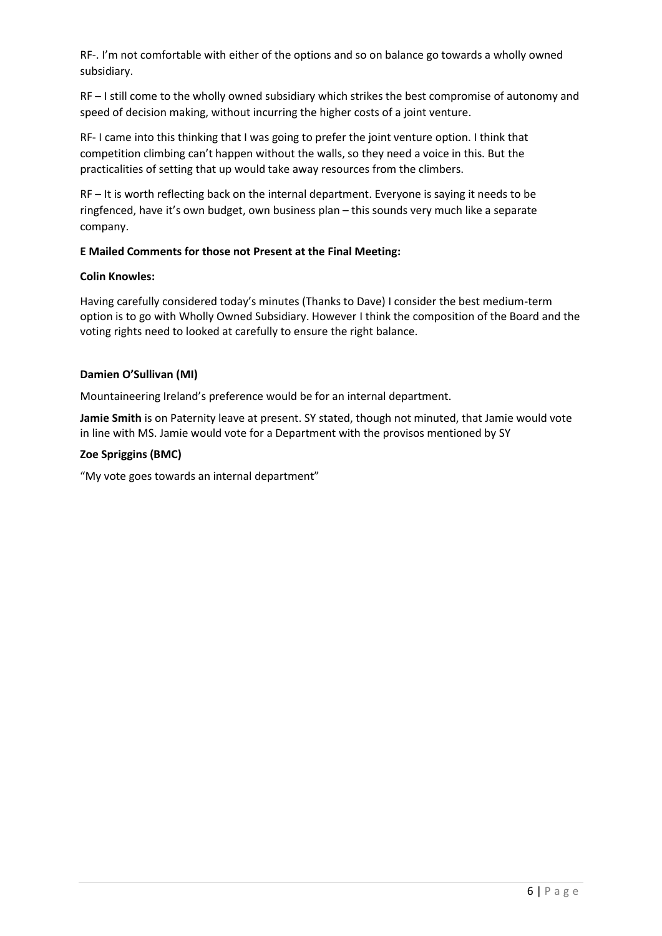RF-. I'm not comfortable with either of the options and so on balance go towards a wholly owned subsidiary.

RF – I still come to the wholly owned subsidiary which strikes the best compromise of autonomy and speed of decision making, without incurring the higher costs of a joint venture.

RF- I came into this thinking that I was going to prefer the joint venture option. I think that competition climbing can't happen without the walls, so they need a voice in this. But the practicalities of setting that up would take away resources from the climbers.

RF – It is worth reflecting back on the internal department. Everyone is saying it needs to be ringfenced, have it's own budget, own business plan – this sounds very much like a separate company.

#### **E Mailed Comments for those not Present at the Final Meeting:**

#### **Colin Knowles:**

Having carefully considered today's minutes (Thanks to Dave) I consider the best medium-term option is to go with Wholly Owned Subsidiary. However I think the composition of the Board and the voting rights need to looked at carefully to ensure the right balance.

#### **Damien O'Sullivan (MI)**

Mountaineering Ireland's preference would be for an internal department.

**Jamie Smith** is on Paternity leave at present. SY stated, though not minuted, that Jamie would vote in line with MS. Jamie would vote for a Department with the provisos mentioned by SY

#### **Zoe Spriggins (BMC)**

"My vote goes towards an internal department"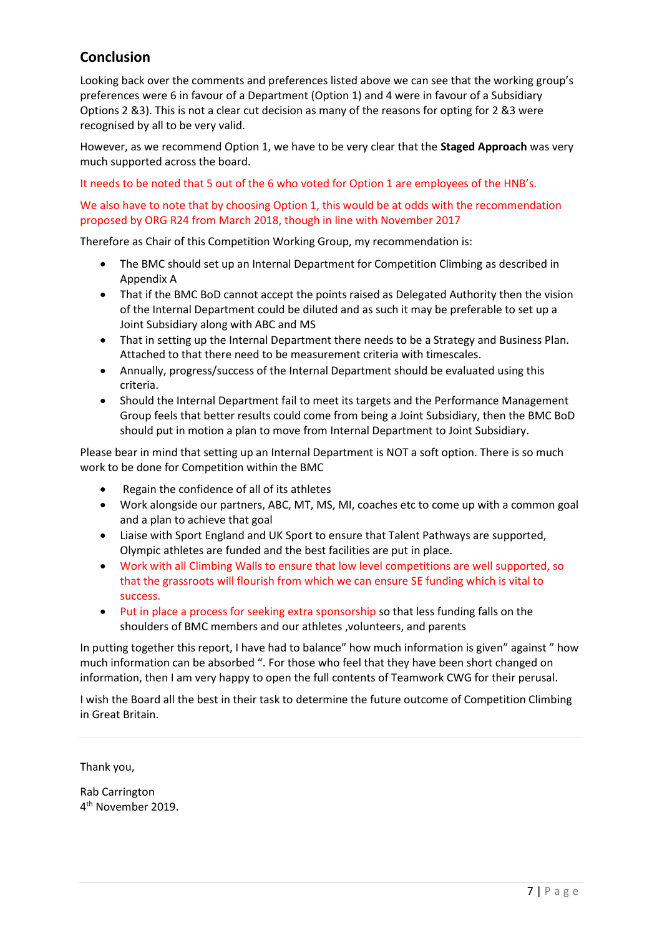# **Conclusion**

Looking back over the comments and preferences listed above we can see that the working group's preferences were 6 in favour of a Department (Option 1) and 4 were in favour of a Subsidiary Options 2 &3). This is not a clear cut decision as many of the reasons for opting for 2 &3 were recognised by all to be very valid.

However, as we recommend Option 1, we have to be very clear that the **Staged Approach** was very much supported across the board.

It needs to be noted that 5 out of the 6 who voted for Option 1 are employees of the HNB's.

## We also have to note that by choosing Option 1, this would be at odds with the recommendation proposed by ORG R24 from March 2018, though in line with November 2017

Therefore as Chair of this Competition Working Group, my recommendation is:

- The BMC should set up an Internal Department for Competition Climbing as described in Appendix A
- That if the BMC BoD cannot accept the points raised as Delegated Authority then the vision of the Internal Department could be diluted and as such it may be preferable to set up a Joint Subsidiary along with ABC and MS
- That in setting up the Internal Department there needs to be a Strategy and Business Plan. Attached to that there need to be measurement criteria with timescales.
- Annually, progress/success of the Internal Department should be evaluated using this criteria.
- Should the Internal Department fail to meet its targets and the Performance Management Group feels that better results could come from being a Joint Subsidiary, then the BMC BoD should put in motion a plan to move from Internal Department to Joint Subsidiary.

Please bear in mind that setting up an Internal Department is NOT a soft option. There is so much work to be done for Competition within the BMC

- Regain the confidence of all of its athletes
- Work alongside our partners, ABC, MT, MS, MI, coaches etc to come up with a common goal and a plan to achieve that goal
- Liaise with Sport England and UK Sport to ensure that Talent Pathways are supported, Olympic athletes are funded and the best facilities are put in place.
- Work with all Climbing Walls to ensure that low level competitions are well supported, so that the grassroots will flourish from which we can ensure SE funding which is vital to success.
- Put in place a process for seeking extra sponsorship so that less funding falls on the shoulders of BMC members and our athletes ,volunteers, and parents

In putting together this report, I have had to balance" how much information is given" against " how much information can be absorbed ". For those who feel that they have been short changed on information, then I am very happy to open the full contents of Teamwork CWG for their perusal.

I wish the Board all the best in their task to determine the future outcome of Competition Climbing in Great Britain.

Thank you,

Rab Carrington 4 th November 2019.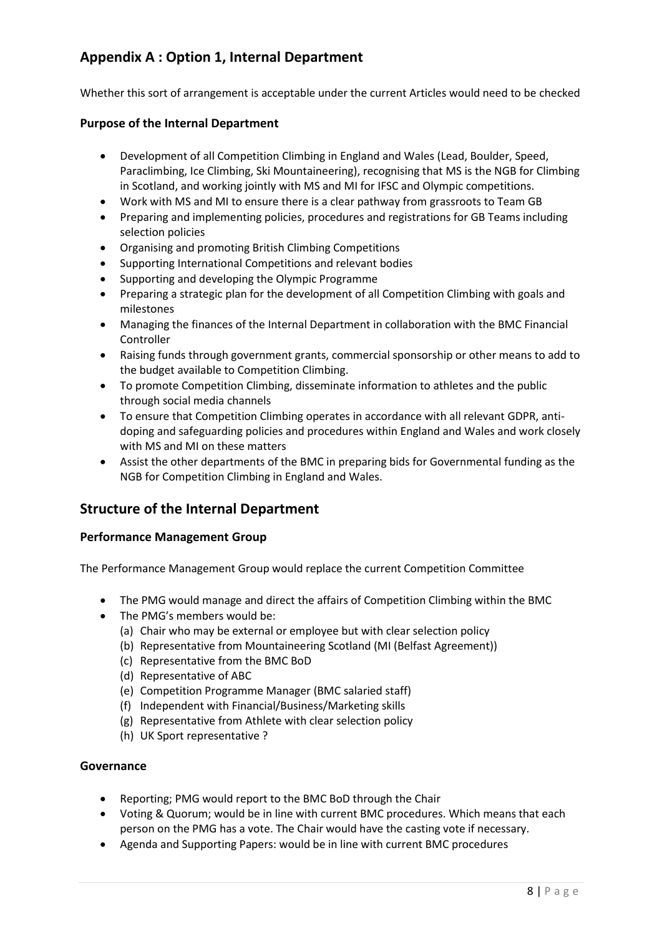# **Appendix A : Option 1, Internal Department**

Whether this sort of arrangement is acceptable under the current Articles would need to be checked

## **Purpose of the Internal Department**

- Development of all Competition Climbing in England and Wales (Lead, Boulder, Speed, Paraclimbing, Ice Climbing, Ski Mountaineering), recognising that MS is the NGB for Climbing in Scotland, and working jointly with MS and MI for IFSC and Olympic competitions.
- Work with MS and MI to ensure there is a clear pathway from grassroots to Team GB
- Preparing and implementing policies, procedures and registrations for GB Teams including selection policies
- Organising and promoting British Climbing Competitions
- Supporting International Competitions and relevant bodies
- Supporting and developing the Olympic Programme
- Preparing a strategic plan for the development of all Competition Climbing with goals and milestones
- Managing the finances of the Internal Department in collaboration with the BMC Financial Controller
- Raising funds through government grants, commercial sponsorship or other means to add to the budget available to Competition Climbing.
- To promote Competition Climbing, disseminate information to athletes and the public through social media channels
- To ensure that Competition Climbing operates in accordance with all relevant GDPR, antidoping and safeguarding policies and procedures within England and Wales and work closely with MS and MI on these matters
- Assist the other departments of the BMC in preparing bids for Governmental funding as the NGB for Competition Climbing in England and Wales.

## **Structure of the Internal Department**

## **Performance Management Group**

The Performance Management Group would replace the current Competition Committee

- The PMG would manage and direct the affairs of Competition Climbing within the BMC
- The PMG's members would be:
	- (a) Chair who may be external or employee but with clear selection policy
	- (b) Representative from Mountaineering Scotland (MI (Belfast Agreement))
	- (c) Representative from the BMC BoD
	- (d) Representative of ABC
	- (e) Competition Programme Manager (BMC salaried staff)
	- (f) Independent with Financial/Business/Marketing skills
	- (g) Representative from Athlete with clear selection policy
	- (h) UK Sport representative ?

#### **Governance**

- Reporting; PMG would report to the BMC BoD through the Chair
- Voting & Quorum; would be in line with current BMC procedures. Which means that each person on the PMG has a vote. The Chair would have the casting vote if necessary.
- Agenda and Supporting Papers: would be in line with current BMC procedures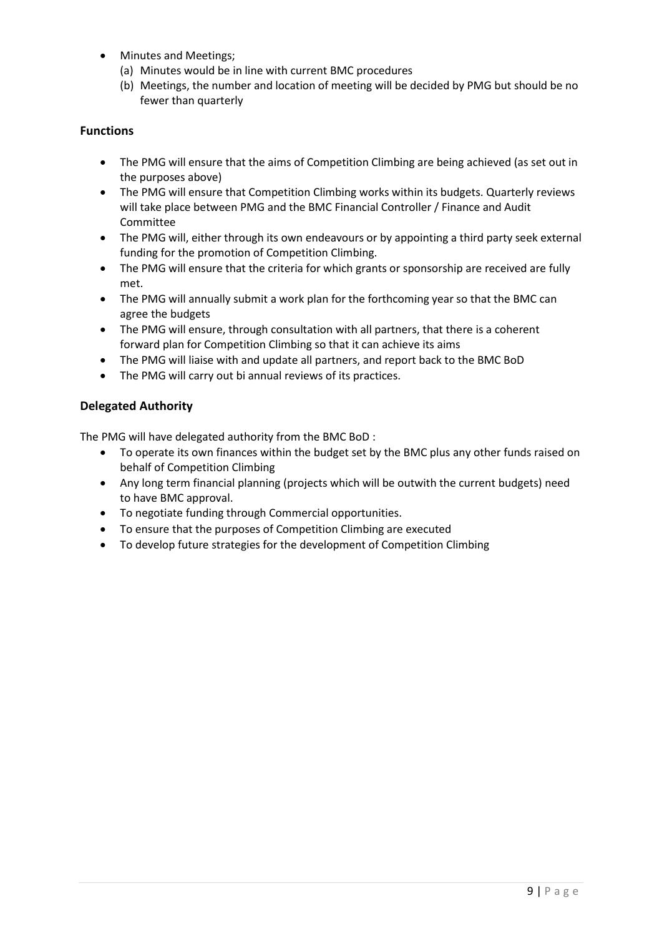- Minutes and Meetings;
	- (a) Minutes would be in line with current BMC procedures
	- (b) Meetings, the number and location of meeting will be decided by PMG but should be no fewer than quarterly

## **Functions**

- The PMG will ensure that the aims of Competition Climbing are being achieved (as set out in the purposes above)
- The PMG will ensure that Competition Climbing works within its budgets. Quarterly reviews will take place between PMG and the BMC Financial Controller / Finance and Audit Committee
- The PMG will, either through its own endeavours or by appointing a third party seek external funding for the promotion of Competition Climbing.
- The PMG will ensure that the criteria for which grants or sponsorship are received are fully met.
- The PMG will annually submit a work plan for the forthcoming year so that the BMC can agree the budgets
- The PMG will ensure, through consultation with all partners, that there is a coherent forward plan for Competition Climbing so that it can achieve its aims
- The PMG will liaise with and update all partners, and report back to the BMC BoD
- The PMG will carry out bi annual reviews of its practices.

## **Delegated Authority**

The PMG will have delegated authority from the BMC BoD :

- To operate its own finances within the budget set by the BMC plus any other funds raised on behalf of Competition Climbing
- Any long term financial planning (projects which will be outwith the current budgets) need to have BMC approval.
- To negotiate funding through Commercial opportunities.
- To ensure that the purposes of Competition Climbing are executed
- To develop future strategies for the development of Competition Climbing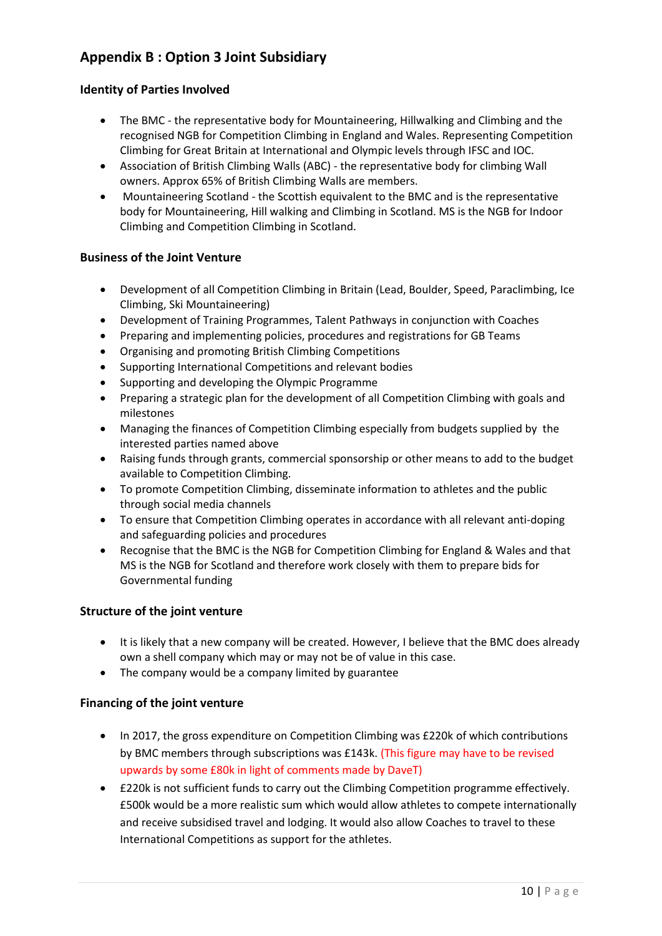# **Appendix B : Option 3 Joint Subsidiary**

## **Identity of Parties Involved**

- The BMC the representative body for Mountaineering, Hillwalking and Climbing and the recognised NGB for Competition Climbing in England and Wales. Representing Competition Climbing for Great Britain at International and Olympic levels through IFSC and IOC.
- Association of British Climbing Walls (ABC) the representative body for climbing Wall owners. Approx 65% of British Climbing Walls are members.
- Mountaineering Scotland the Scottish equivalent to the BMC and is the representative body for Mountaineering, Hill walking and Climbing in Scotland. MS is the NGB for Indoor Climbing and Competition Climbing in Scotland.

## **Business of the Joint Venture**

- Development of all Competition Climbing in Britain (Lead, Boulder, Speed, Paraclimbing, Ice Climbing, Ski Mountaineering)
- Development of Training Programmes, Talent Pathways in conjunction with Coaches
- Preparing and implementing policies, procedures and registrations for GB Teams
- Organising and promoting British Climbing Competitions
- Supporting International Competitions and relevant bodies
- Supporting and developing the Olympic Programme
- Preparing a strategic plan for the development of all Competition Climbing with goals and milestones
- Managing the finances of Competition Climbing especially from budgets supplied by the interested parties named above
- Raising funds through grants, commercial sponsorship or other means to add to the budget available to Competition Climbing.
- To promote Competition Climbing, disseminate information to athletes and the public through social media channels
- To ensure that Competition Climbing operates in accordance with all relevant anti-doping and safeguarding policies and procedures
- Recognise that the BMC is the NGB for Competition Climbing for England & Wales and that MS is the NGB for Scotland and therefore work closely with them to prepare bids for Governmental funding

#### **Structure of the joint venture**

- It is likely that a new company will be created. However, I believe that the BMC does already own a shell company which may or may not be of value in this case.
- The company would be a company limited by guarantee

#### **Financing of the joint venture**

- In 2017, the gross expenditure on Competition Climbing was £220k of which contributions by BMC members through subscriptions was £143k. (This figure may have to be revised upwards by some £80k in light of comments made by DaveT)
- £220k is not sufficient funds to carry out the Climbing Competition programme effectively. £500k would be a more realistic sum which would allow athletes to compete internationally and receive subsidised travel and lodging. It would also allow Coaches to travel to these International Competitions as support for the athletes.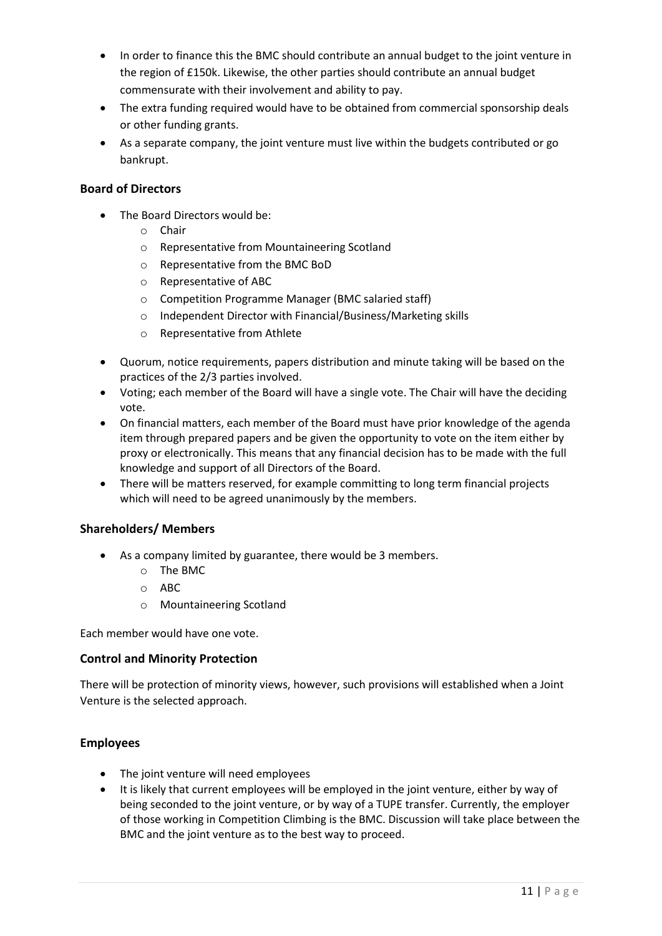- In order to finance this the BMC should contribute an annual budget to the joint venture in the region of £150k. Likewise, the other parties should contribute an annual budget commensurate with their involvement and ability to pay.
- The extra funding required would have to be obtained from commercial sponsorship deals or other funding grants.
- As a separate company, the joint venture must live within the budgets contributed or go bankrupt.

## **Board of Directors**

- The Board Directors would be:
	- o Chair
	- o Representative from Mountaineering Scotland
	- o Representative from the BMC BoD
	- o Representative of ABC
	- o Competition Programme Manager (BMC salaried staff)
	- o Independent Director with Financial/Business/Marketing skills
	- o Representative from Athlete
- Quorum, notice requirements, papers distribution and minute taking will be based on the practices of the 2/3 parties involved.
- Voting; each member of the Board will have a single vote. The Chair will have the deciding vote.
- On financial matters, each member of the Board must have prior knowledge of the agenda item through prepared papers and be given the opportunity to vote on the item either by proxy or electronically. This means that any financial decision has to be made with the full knowledge and support of all Directors of the Board.
- There will be matters reserved, for example committing to long term financial projects which will need to be agreed unanimously by the members.

## **Shareholders/ Members**

- As a company limited by guarantee, there would be 3 members.
	- o The BMC
	- o ABC
	- o Mountaineering Scotland

Each member would have one vote.

## **Control and Minority Protection**

There will be protection of minority views, however, such provisions will established when a Joint Venture is the selected approach.

## **Employees**

- The joint venture will need employees
- It is likely that current employees will be employed in the joint venture, either by way of being seconded to the joint venture, or by way of a TUPE transfer. Currently, the employer of those working in Competition Climbing is the BMC. Discussion will take place between the BMC and the joint venture as to the best way to proceed.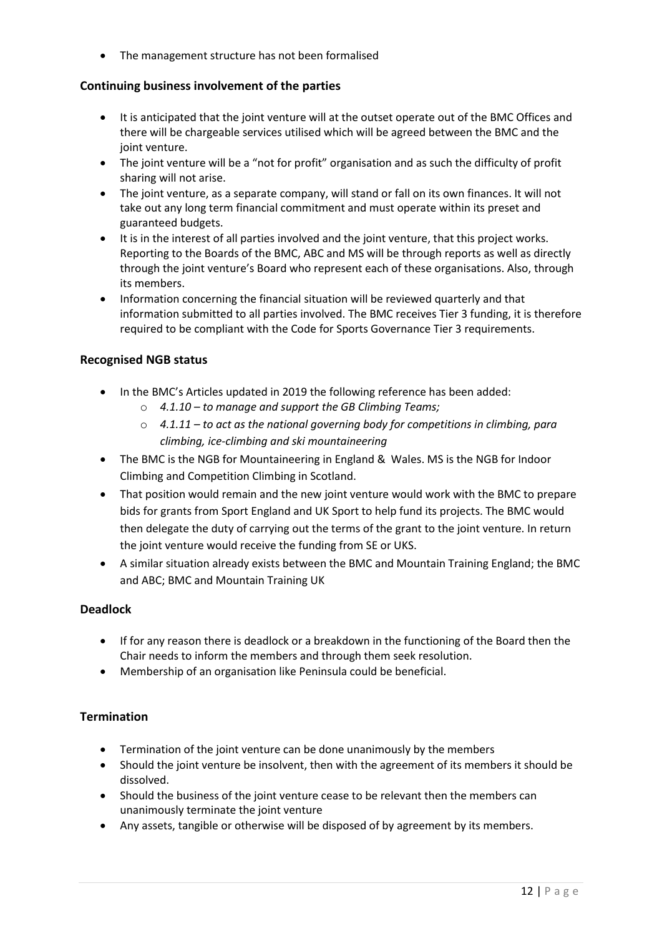• The management structure has not been formalised

## **Continuing business involvement of the parties**

- It is anticipated that the joint venture will at the outset operate out of the BMC Offices and there will be chargeable services utilised which will be agreed between the BMC and the joint venture.
- The joint venture will be a "not for profit" organisation and as such the difficulty of profit sharing will not arise.
- The joint venture, as a separate company, will stand or fall on its own finances. It will not take out any long term financial commitment and must operate within its preset and guaranteed budgets.
- It is in the interest of all parties involved and the joint venture, that this project works. Reporting to the Boards of the BMC, ABC and MS will be through reports as well as directly through the joint venture's Board who represent each of these organisations. Also, through its members.
- Information concerning the financial situation will be reviewed quarterly and that information submitted to all parties involved. The BMC receives Tier 3 funding, it is therefore required to be compliant with the Code for Sports Governance Tier 3 requirements.

## **Recognised NGB status**

- In the BMC's Articles updated in 2019 the following reference has been added:
	- o *4.1.10 – to manage and support the GB Climbing Teams;*
	- o *4.1.11 – to act as the national governing body for competitions in climbing, para climbing, ice-climbing and ski mountaineering*
- The BMC is the NGB for Mountaineering in England & Wales. MS is the NGB for Indoor Climbing and Competition Climbing in Scotland.
- That position would remain and the new joint venture would work with the BMC to prepare bids for grants from Sport England and UK Sport to help fund its projects. The BMC would then delegate the duty of carrying out the terms of the grant to the joint venture. In return the joint venture would receive the funding from SE or UKS.
- A similar situation already exists between the BMC and Mountain Training England; the BMC and ABC; BMC and Mountain Training UK

## **Deadlock**

- If for any reason there is deadlock or a breakdown in the functioning of the Board then the Chair needs to inform the members and through them seek resolution.
- Membership of an organisation like Peninsula could be beneficial.

## **Termination**

- Termination of the joint venture can be done unanimously by the members
- Should the joint venture be insolvent, then with the agreement of its members it should be dissolved.
- Should the business of the joint venture cease to be relevant then the members can unanimously terminate the joint venture
- Any assets, tangible or otherwise will be disposed of by agreement by its members.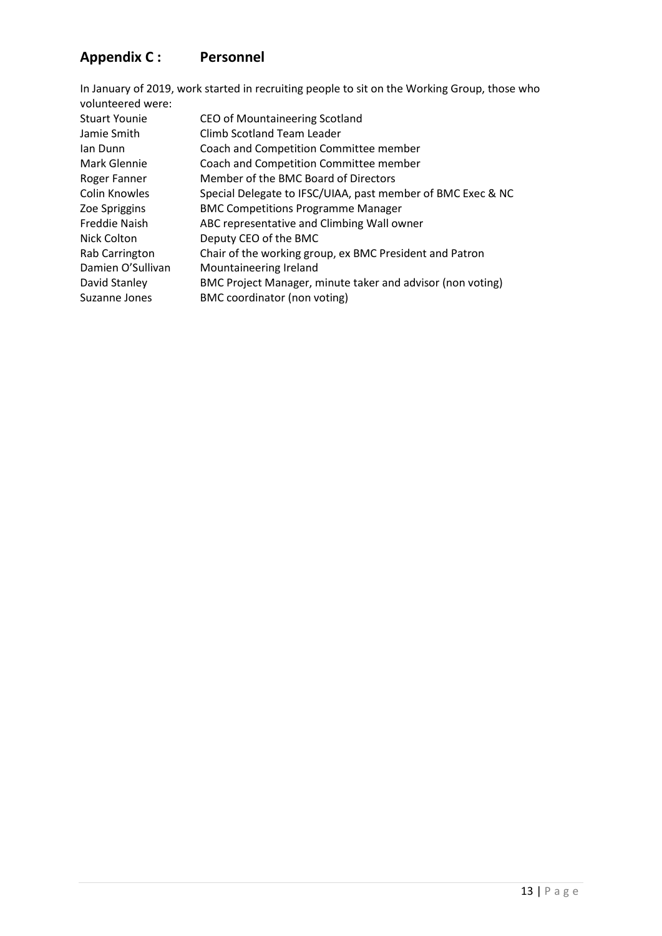# **Appendix C : Personnel**

| In January of 2019, work started in recruiting people to sit on the Working Group, those who |
|----------------------------------------------------------------------------------------------|
|                                                                                              |
| CEO of Mountaineering Scotland                                                               |
| Climb Scotland Team Leader                                                                   |
| Coach and Competition Committee member                                                       |
| Coach and Competition Committee member                                                       |
| Member of the BMC Board of Directors                                                         |
| Special Delegate to IFSC/UIAA, past member of BMC Exec & NC                                  |
| <b>BMC Competitions Programme Manager</b>                                                    |
| ABC representative and Climbing Wall owner                                                   |
| Deputy CEO of the BMC                                                                        |
| Chair of the working group, ex BMC President and Patron                                      |
| Mountaineering Ireland                                                                       |
| BMC Project Manager, minute taker and advisor (non voting)                                   |
| BMC coordinator (non voting)                                                                 |
|                                                                                              |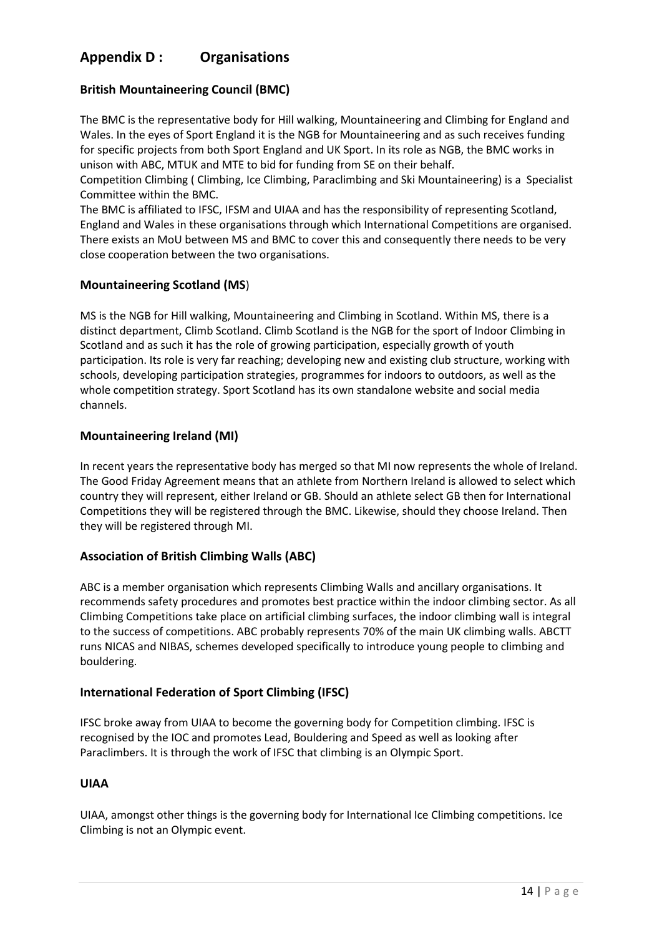# **Appendix D : Organisations**

## **British Mountaineering Council (BMC)**

The BMC is the representative body for Hill walking, Mountaineering and Climbing for England and Wales. In the eyes of Sport England it is the NGB for Mountaineering and as such receives funding for specific projects from both Sport England and UK Sport. In its role as NGB, the BMC works in unison with ABC, MTUK and MTE to bid for funding from SE on their behalf.

Competition Climbing ( Climbing, Ice Climbing, Paraclimbing and Ski Mountaineering) is a Specialist Committee within the BMC.

The BMC is affiliated to IFSC, IFSM and UIAA and has the responsibility of representing Scotland, England and Wales in these organisations through which International Competitions are organised. There exists an MoU between MS and BMC to cover this and consequently there needs to be very close cooperation between the two organisations.

## **Mountaineering Scotland (MS**)

MS is the NGB for Hill walking, Mountaineering and Climbing in Scotland. Within MS, there is a distinct department, Climb Scotland. Climb Scotland is the NGB for the sport of Indoor Climbing in Scotland and as such it has the role of growing participation, especially growth of youth participation. Its role is very far reaching; developing new and existing club structure, working with schools, developing participation strategies, programmes for indoors to outdoors, as well as the whole competition strategy. Sport Scotland has its own standalone website and social media channels.

## **Mountaineering Ireland (MI)**

In recent years the representative body has merged so that MI now represents the whole of Ireland. The Good Friday Agreement means that an athlete from Northern Ireland is allowed to select which country they will represent, either Ireland or GB. Should an athlete select GB then for International Competitions they will be registered through the BMC. Likewise, should they choose Ireland. Then they will be registered through MI.

## **Association of British Climbing Walls (ABC)**

ABC is a member organisation which represents Climbing Walls and ancillary organisations. It recommends safety procedures and promotes best practice within the indoor climbing sector. As all Climbing Competitions take place on artificial climbing surfaces, the indoor climbing wall is integral to the success of competitions. ABC probably represents 70% of the main UK climbing walls. ABCTT runs NICAS and NIBAS, schemes developed specifically to introduce young people to climbing and bouldering.

## **International Federation of Sport Climbing (IFSC)**

IFSC broke away from UIAA to become the governing body for Competition climbing. IFSC is recognised by the IOC and promotes Lead, Bouldering and Speed as well as looking after Paraclimbers. It is through the work of IFSC that climbing is an Olympic Sport.

## **UIAA**

UIAA, amongst other things is the governing body for International Ice Climbing competitions. Ice Climbing is not an Olympic event.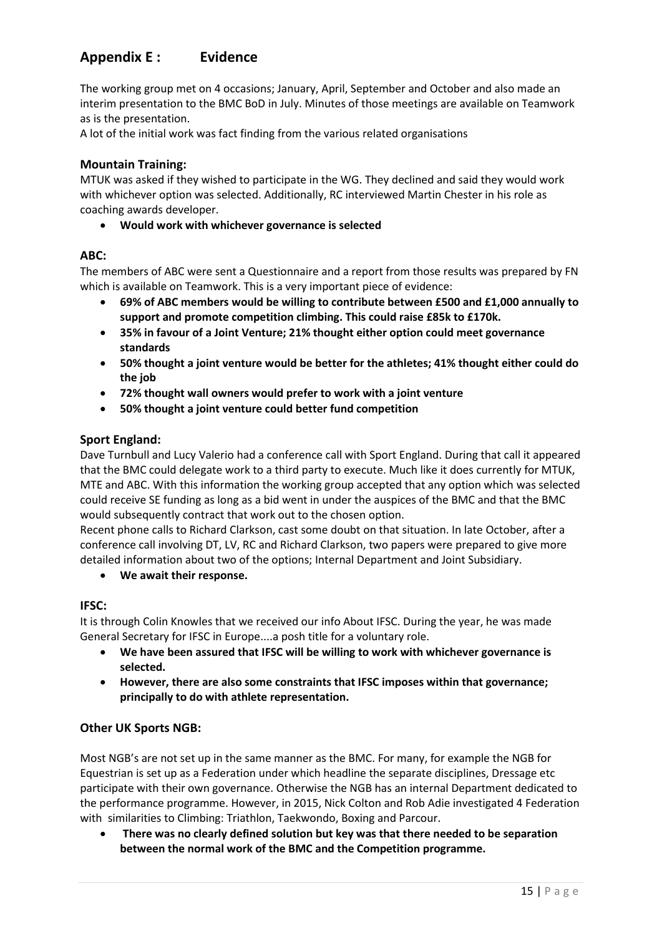# **Appendix E : Evidence**

The working group met on 4 occasions; January, April, September and October and also made an interim presentation to the BMC BoD in July. Minutes of those meetings are available on Teamwork as is the presentation.

A lot of the initial work was fact finding from the various related organisations

#### **Mountain Training:**

MTUK was asked if they wished to participate in the WG. They declined and said they would work with whichever option was selected. Additionally, RC interviewed Martin Chester in his role as coaching awards developer.

• **Would work with whichever governance is selected**

#### **ABC:**

The members of ABC were sent a Questionnaire and a report from those results was prepared by FN which is available on Teamwork. This is a very important piece of evidence:

- **69% of ABC members would be willing to contribute between £500 and £1,000 annually to support and promote competition climbing. This could raise £85k to £170k.**
- **35% in favour of a Joint Venture; 21% thought either option could meet governance standards**
- **50% thought a joint venture would be better for the athletes; 41% thought either could do the job**
- **72% thought wall owners would prefer to work with a joint venture**
- **50% thought a joint venture could better fund competition**

#### **Sport England:**

Dave Turnbull and Lucy Valerio had a conference call with Sport England. During that call it appeared that the BMC could delegate work to a third party to execute. Much like it does currently for MTUK, MTE and ABC. With this information the working group accepted that any option which was selected could receive SE funding as long as a bid went in under the auspices of the BMC and that the BMC would subsequently contract that work out to the chosen option.

Recent phone calls to Richard Clarkson, cast some doubt on that situation. In late October, after a conference call involving DT, LV, RC and Richard Clarkson, two papers were prepared to give more detailed information about two of the options; Internal Department and Joint Subsidiary.

• **We await their response.**

#### **IFSC:**

It is through Colin Knowles that we received our info About IFSC. During the year, he was made General Secretary for IFSC in Europe....a posh title for a voluntary role.

- **We have been assured that IFSC will be willing to work with whichever governance is selected.**
- **However, there are also some constraints that IFSC imposes within that governance; principally to do with athlete representation.**

#### **Other UK Sports NGB:**

Most NGB's are not set up in the same manner as the BMC. For many, for example the NGB for Equestrian is set up as a Federation under which headline the separate disciplines, Dressage etc participate with their own governance. Otherwise the NGB has an internal Department dedicated to the performance programme. However, in 2015, Nick Colton and Rob Adie investigated 4 Federation with similarities to Climbing: Triathlon, Taekwondo, Boxing and Parcour.

• **There was no clearly defined solution but key was that there needed to be separation between the normal work of the BMC and the Competition programme.**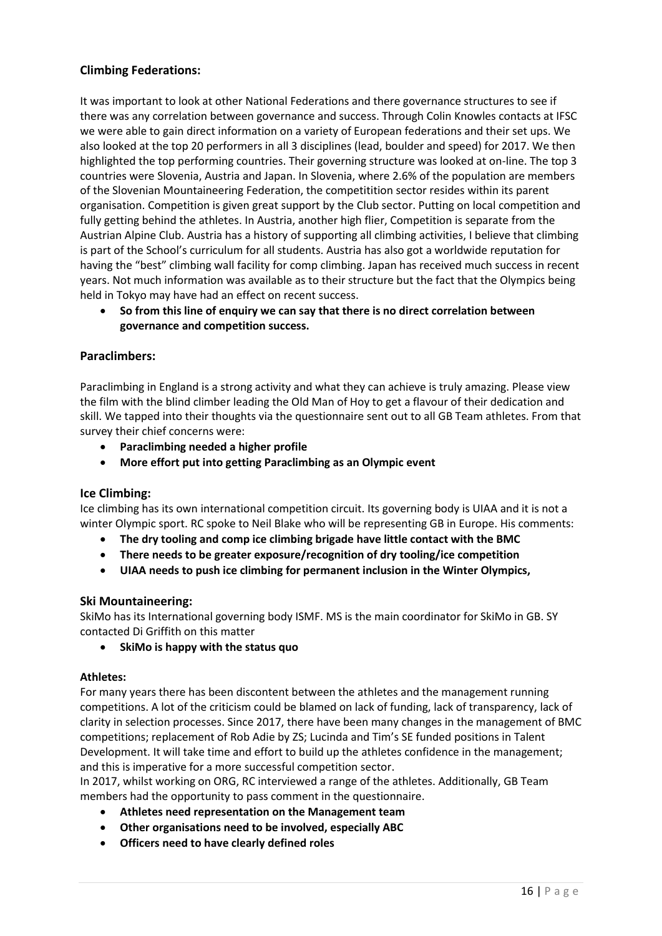## **Climbing Federations:**

It was important to look at other National Federations and there governance structures to see if there was any correlation between governance and success. Through Colin Knowles contacts at IFSC we were able to gain direct information on a variety of European federations and their set ups. We also looked at the top 20 performers in all 3 disciplines (lead, boulder and speed) for 2017. We then highlighted the top performing countries. Their governing structure was looked at on-line. The top 3 countries were Slovenia, Austria and Japan. In Slovenia, where 2.6% of the population are members of the Slovenian Mountaineering Federation, the competitition sector resides within its parent organisation. Competition is given great support by the Club sector. Putting on local competition and fully getting behind the athletes. In Austria, another high flier, Competition is separate from the Austrian Alpine Club. Austria has a history of supporting all climbing activities, I believe that climbing is part of the School's curriculum for all students. Austria has also got a worldwide reputation for having the "best" climbing wall facility for comp climbing. Japan has received much success in recent years. Not much information was available as to their structure but the fact that the Olympics being held in Tokyo may have had an effect on recent success.

• **So from this line of enquiry we can say that there is no direct correlation between governance and competition success.** 

#### **Paraclimbers:**

Paraclimbing in England is a strong activity and what they can achieve is truly amazing. Please view the film with the blind climber leading the Old Man of Hoy to get a flavour of their dedication and skill. We tapped into their thoughts via the questionnaire sent out to all GB Team athletes. From that survey their chief concerns were:

- **Paraclimbing needed a higher profile**
- **More effort put into getting Paraclimbing as an Olympic event**

#### **Ice Climbing:**

Ice climbing has its own international competition circuit. Its governing body is UIAA and it is not a winter Olympic sport. RC spoke to Neil Blake who will be representing GB in Europe. His comments:

- **The dry tooling and comp ice climbing brigade have little contact with the BMC**
- **There needs to be greater exposure/recognition of dry tooling/ice competition**
- **UIAA needs to push ice climbing for permanent inclusion in the Winter Olympics,**

#### **Ski Mountaineering:**

SkiMo has its International governing body ISMF. MS is the main coordinator for SkiMo in GB. SY contacted Di Griffith on this matter

• **SkiMo is happy with the status quo**

#### **Athletes:**

For many years there has been discontent between the athletes and the management running competitions. A lot of the criticism could be blamed on lack of funding, lack of transparency, lack of clarity in selection processes. Since 2017, there have been many changes in the management of BMC competitions; replacement of Rob Adie by ZS; Lucinda and Tim's SE funded positions in Talent Development. It will take time and effort to build up the athletes confidence in the management; and this is imperative for a more successful competition sector.

In 2017, whilst working on ORG, RC interviewed a range of the athletes. Additionally, GB Team members had the opportunity to pass comment in the questionnaire.

- **Athletes need representation on the Management team**
- **Other organisations need to be involved, especially ABC**
- **Officers need to have clearly defined roles**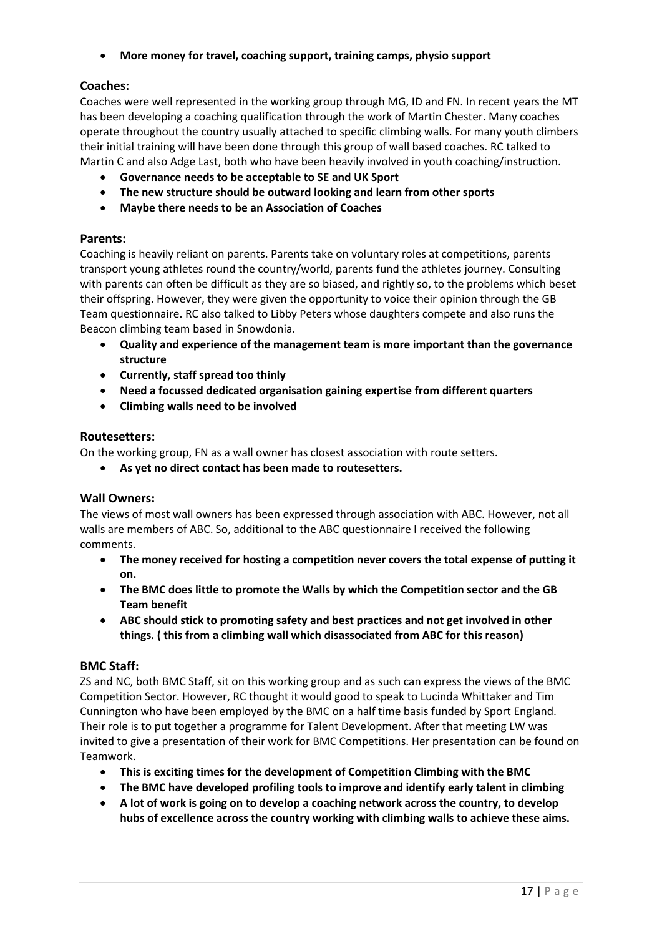• **More money for travel, coaching support, training camps, physio support**

## **Coaches:**

Coaches were well represented in the working group through MG, ID and FN. In recent years the MT has been developing a coaching qualification through the work of Martin Chester. Many coaches operate throughout the country usually attached to specific climbing walls. For many youth climbers their initial training will have been done through this group of wall based coaches. RC talked to Martin C and also Adge Last, both who have been heavily involved in youth coaching/instruction.

- **Governance needs to be acceptable to SE and UK Sport**
- **The new structure should be outward looking and learn from other sports**
- **Maybe there needs to be an Association of Coaches**

## **Parents:**

Coaching is heavily reliant on parents. Parents take on voluntary roles at competitions, parents transport young athletes round the country/world, parents fund the athletes journey. Consulting with parents can often be difficult as they are so biased, and rightly so, to the problems which beset their offspring. However, they were given the opportunity to voice their opinion through the GB Team questionnaire. RC also talked to Libby Peters whose daughters compete and also runs the Beacon climbing team based in Snowdonia.

- **Quality and experience of the management team is more important than the governance structure**
- **Currently, staff spread too thinly**
- **Need a focussed dedicated organisation gaining expertise from different quarters**
- **Climbing walls need to be involved**

## **Routesetters:**

On the working group, FN as a wall owner has closest association with route setters.

• **As yet no direct contact has been made to routesetters.**

## **Wall Owners:**

The views of most wall owners has been expressed through association with ABC. However, not all walls are members of ABC. So, additional to the ABC questionnaire I received the following comments.

- **The money received for hosting a competition never covers the total expense of putting it on.**
- **The BMC does little to promote the Walls by which the Competition sector and the GB Team benefit**
- **ABC should stick to promoting safety and best practices and not get involved in other things. ( this from a climbing wall which disassociated from ABC for this reason)**

## **BMC Staff:**

ZS and NC, both BMC Staff, sit on this working group and as such can express the views of the BMC Competition Sector. However, RC thought it would good to speak to Lucinda Whittaker and Tim Cunnington who have been employed by the BMC on a half time basis funded by Sport England. Their role is to put together a programme for Talent Development. After that meeting LW was invited to give a presentation of their work for BMC Competitions. Her presentation can be found on Teamwork.

- **This is exciting times for the development of Competition Climbing with the BMC**
- **The BMC have developed profiling tools to improve and identify early talent in climbing**
- **A lot of work is going on to develop a coaching network across the country, to develop hubs of excellence across the country working with climbing walls to achieve these aims.**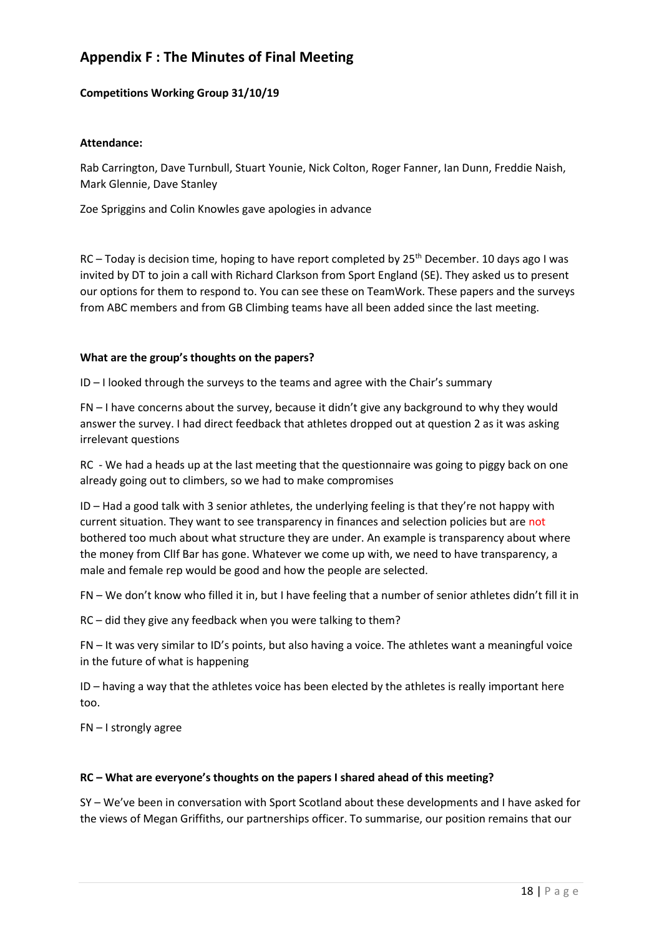# **Appendix F : The Minutes of Final Meeting**

#### **Competitions Working Group 31/10/19**

#### **Attendance:**

Rab Carrington, Dave Turnbull, Stuart Younie, Nick Colton, Roger Fanner, Ian Dunn, Freddie Naish, Mark Glennie, Dave Stanley

Zoe Spriggins and Colin Knowles gave apologies in advance

RC – Today is decision time, hoping to have report completed by 25<sup>th</sup> December. 10 days ago I was invited by DT to join a call with Richard Clarkson from Sport England (SE). They asked us to present our options for them to respond to. You can see these on TeamWork. These papers and the surveys from ABC members and from GB Climbing teams have all been added since the last meeting.

#### **What are the group's thoughts on the papers?**

ID – I looked through the surveys to the teams and agree with the Chair's summary

FN – I have concerns about the survey, because it didn't give any background to why they would answer the survey. I had direct feedback that athletes dropped out at question 2 as it was asking irrelevant questions

RC - We had a heads up at the last meeting that the questionnaire was going to piggy back on one already going out to climbers, so we had to make compromises

ID – Had a good talk with 3 senior athletes, the underlying feeling is that they're not happy with current situation. They want to see transparency in finances and selection policies but are not bothered too much about what structure they are under. An example is transparency about where the money from ClIf Bar has gone. Whatever we come up with, we need to have transparency, a male and female rep would be good and how the people are selected.

FN – We don't know who filled it in, but I have feeling that a number of senior athletes didn't fill it in

RC – did they give any feedback when you were talking to them?

FN – It was very similar to ID's points, but also having a voice. The athletes want a meaningful voice in the future of what is happening

ID – having a way that the athletes voice has been elected by the athletes is really important here too.

FN – I strongly agree

#### **RC – What are everyone's thoughts on the papers I shared ahead of this meeting?**

SY – We've been in conversation with Sport Scotland about these developments and I have asked for the views of Megan Griffiths, our partnerships officer. To summarise, our position remains that our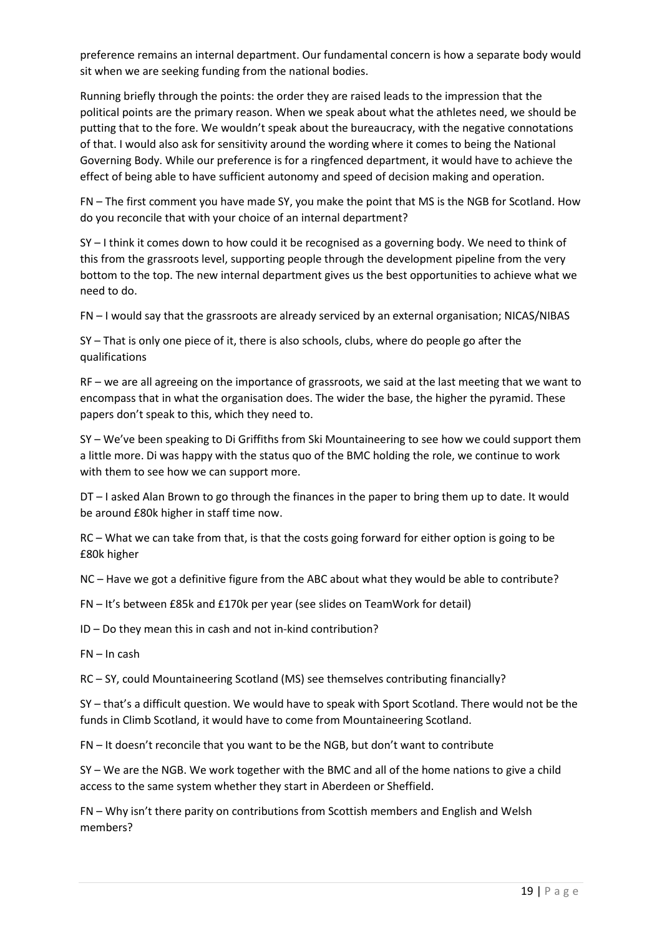preference remains an internal department. Our fundamental concern is how a separate body would sit when we are seeking funding from the national bodies.

Running briefly through the points: the order they are raised leads to the impression that the political points are the primary reason. When we speak about what the athletes need, we should be putting that to the fore. We wouldn't speak about the bureaucracy, with the negative connotations of that. I would also ask for sensitivity around the wording where it comes to being the National Governing Body. While our preference is for a ringfenced department, it would have to achieve the effect of being able to have sufficient autonomy and speed of decision making and operation.

FN – The first comment you have made SY, you make the point that MS is the NGB for Scotland. How do you reconcile that with your choice of an internal department?

SY – I think it comes down to how could it be recognised as a governing body. We need to think of this from the grassroots level, supporting people through the development pipeline from the very bottom to the top. The new internal department gives us the best opportunities to achieve what we need to do.

FN – I would say that the grassroots are already serviced by an external organisation; NICAS/NIBAS

SY – That is only one piece of it, there is also schools, clubs, where do people go after the qualifications

RF – we are all agreeing on the importance of grassroots, we said at the last meeting that we want to encompass that in what the organisation does. The wider the base, the higher the pyramid. These papers don't speak to this, which they need to.

SY – We've been speaking to Di Griffiths from Ski Mountaineering to see how we could support them a little more. Di was happy with the status quo of the BMC holding the role, we continue to work with them to see how we can support more.

DT – I asked Alan Brown to go through the finances in the paper to bring them up to date. It would be around £80k higher in staff time now.

RC – What we can take from that, is that the costs going forward for either option is going to be £80k higher

NC – Have we got a definitive figure from the ABC about what they would be able to contribute?

FN – It's between £85k and £170k per year (see slides on TeamWork for detail)

ID – Do they mean this in cash and not in-kind contribution?

FN – In cash

RC – SY, could Mountaineering Scotland (MS) see themselves contributing financially?

SY – that's a difficult question. We would have to speak with Sport Scotland. There would not be the funds in Climb Scotland, it would have to come from Mountaineering Scotland.

FN – It doesn't reconcile that you want to be the NGB, but don't want to contribute

SY – We are the NGB. We work together with the BMC and all of the home nations to give a child access to the same system whether they start in Aberdeen or Sheffield.

FN – Why isn't there parity on contributions from Scottish members and English and Welsh members?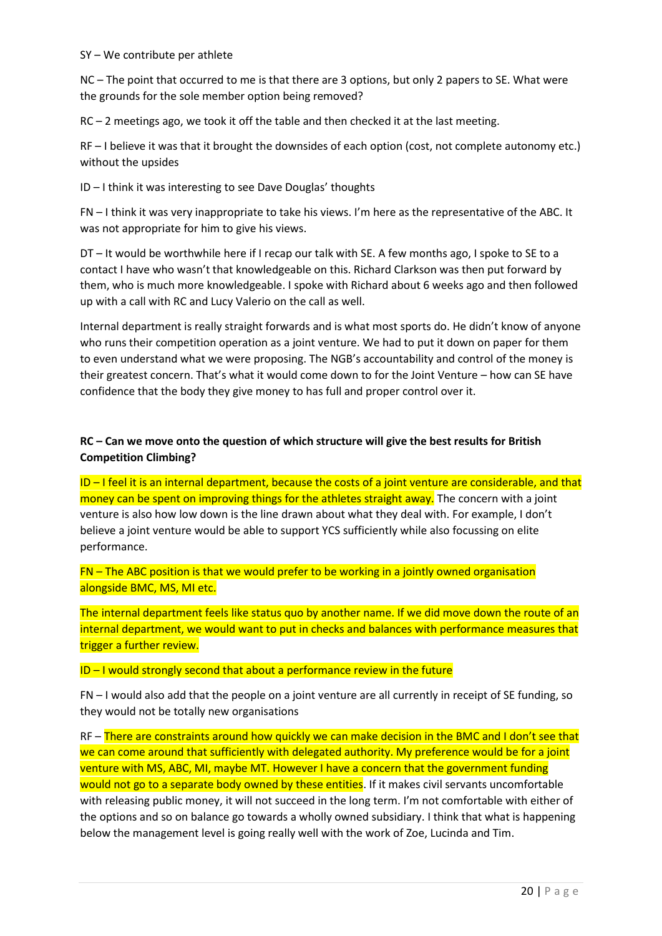SY – We contribute per athlete

NC – The point that occurred to me is that there are 3 options, but only 2 papers to SE. What were the grounds for the sole member option being removed?

RC – 2 meetings ago, we took it off the table and then checked it at the last meeting.

RF – I believe it was that it brought the downsides of each option (cost, not complete autonomy etc.) without the upsides

ID – I think it was interesting to see Dave Douglas' thoughts

FN – I think it was very inappropriate to take his views. I'm here as the representative of the ABC. It was not appropriate for him to give his views.

DT – It would be worthwhile here if I recap our talk with SE. A few months ago, I spoke to SE to a contact I have who wasn't that knowledgeable on this. Richard Clarkson was then put forward by them, who is much more knowledgeable. I spoke with Richard about 6 weeks ago and then followed up with a call with RC and Lucy Valerio on the call as well.

Internal department is really straight forwards and is what most sports do. He didn't know of anyone who runs their competition operation as a joint venture. We had to put it down on paper for them to even understand what we were proposing. The NGB's accountability and control of the money is their greatest concern. That's what it would come down to for the Joint Venture – how can SE have confidence that the body they give money to has full and proper control over it.

## **RC – Can we move onto the question of which structure will give the best results for British Competition Climbing?**

 $ID - I$  feel it is an internal department, because the costs of a joint venture are considerable, and that money can be spent on improving things for the athletes straight away. The concern with a joint venture is also how low down is the line drawn about what they deal with. For example, I don't believe a joint venture would be able to support YCS sufficiently while also focussing on elite performance.

FN – The ABC position is that we would prefer to be working in a jointly owned organisation alongside BMC, MS, MI etc.

The internal department feels like status quo by another name. If we did move down the route of an internal department, we would want to put in checks and balances with performance measures that trigger a further review.

 $ID - I$  would strongly second that about a performance review in the future

FN – I would also add that the people on a joint venture are all currently in receipt of SE funding, so they would not be totally new organisations

RF – There are constraints around how quickly we can make decision in the BMC and I don't see that we can come around that sufficiently with delegated authority. My preference would be for a joint venture with MS, ABC, MI, maybe MT. However I have a concern that the government funding would not go to a separate body owned by these entities. If it makes civil servants uncomfortable with releasing public money, it will not succeed in the long term. I'm not comfortable with either of the options and so on balance go towards a wholly owned subsidiary. I think that what is happening below the management level is going really well with the work of Zoe, Lucinda and Tim.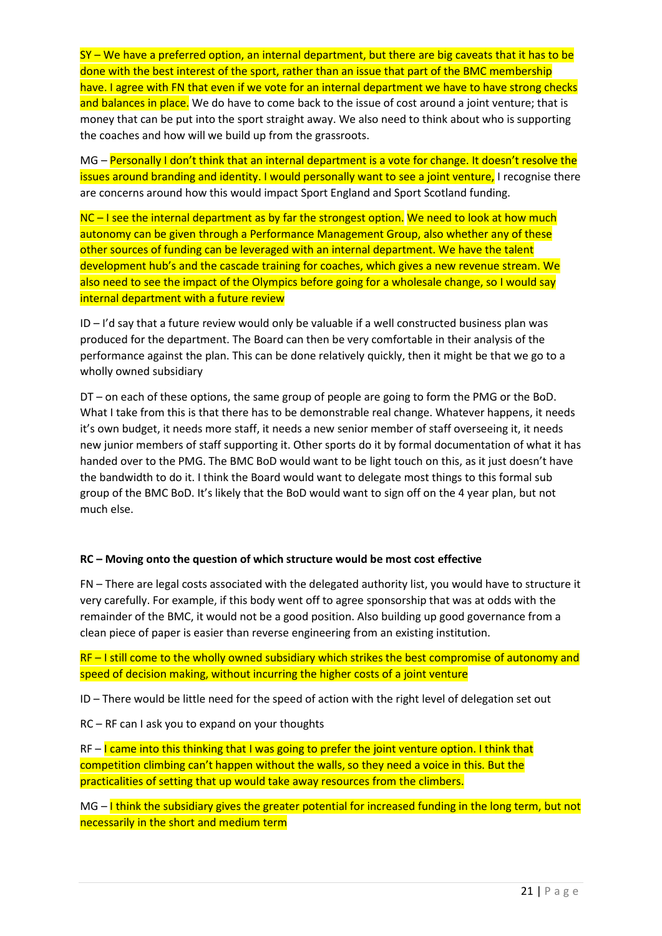$SY - We$  have a preferred option, an internal department, but there are big caveats that it has to be done with the best interest of the sport, rather than an issue that part of the BMC membership have. I agree with FN that even if we vote for an internal department we have to have strong checks and balances in place. We do have to come back to the issue of cost around a joint venture; that is money that can be put into the sport straight away. We also need to think about who is supporting the coaches and how will we build up from the grassroots.

MG – Personally I don't think that an internal department is a vote for change. It doesn't resolve the issues around branding and identity. I would personally want to see a joint venture, I recognise there are concerns around how this would impact Sport England and Sport Scotland funding.

NC – I see the internal department as by far the strongest option. We need to look at how much autonomy can be given through a Performance Management Group, also whether any of these other sources of funding can be leveraged with an internal department. We have the talent development hub's and the cascade training for coaches, which gives a new revenue stream. We also need to see the impact of the Olympics before going for a wholesale change, so I would say internal department with a future review

ID – I'd say that a future review would only be valuable if a well constructed business plan was produced for the department. The Board can then be very comfortable in their analysis of the performance against the plan. This can be done relatively quickly, then it might be that we go to a wholly owned subsidiary

DT – on each of these options, the same group of people are going to form the PMG or the BoD. What I take from this is that there has to be demonstrable real change. Whatever happens, it needs it's own budget, it needs more staff, it needs a new senior member of staff overseeing it, it needs new junior members of staff supporting it. Other sports do it by formal documentation of what it has handed over to the PMG. The BMC BoD would want to be light touch on this, as it just doesn't have the bandwidth to do it. I think the Board would want to delegate most things to this formal sub group of the BMC BoD. It's likely that the BoD would want to sign off on the 4 year plan, but not much else.

#### **RC – Moving onto the question of which structure would be most cost effective**

FN – There are legal costs associated with the delegated authority list, you would have to structure it very carefully. For example, if this body went off to agree sponsorship that was at odds with the remainder of the BMC, it would not be a good position. Also building up good governance from a clean piece of paper is easier than reverse engineering from an existing institution.

RF – I still come to the wholly owned subsidiary which strikes the best compromise of autonomy and speed of decision making, without incurring the higher costs of a joint venture

ID – There would be little need for the speed of action with the right level of delegation set out

RC – RF can I ask you to expand on your thoughts

 $RF - I$  came into this thinking that I was going to prefer the joint venture option. I think that competition climbing can't happen without the walls, so they need a voice in this. But the practicalities of setting that up would take away resources from the climbers.

 $MG - I$  think the subsidiary gives the greater potential for increased funding in the long term, but not necessarily in the short and medium term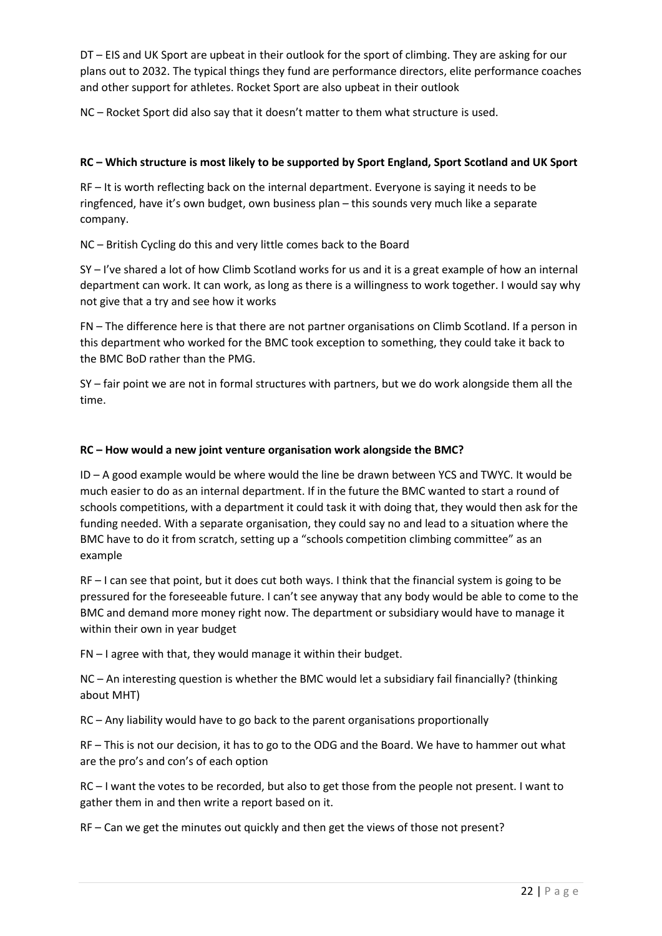DT – EIS and UK Sport are upbeat in their outlook for the sport of climbing. They are asking for our plans out to 2032. The typical things they fund are performance directors, elite performance coaches and other support for athletes. Rocket Sport are also upbeat in their outlook

NC – Rocket Sport did also say that it doesn't matter to them what structure is used.

#### **RC – Which structure is most likely to be supported by Sport England, Sport Scotland and UK Sport**

RF – It is worth reflecting back on the internal department. Everyone is saying it needs to be ringfenced, have it's own budget, own business plan – this sounds very much like a separate company.

NC – British Cycling do this and very little comes back to the Board

SY – I've shared a lot of how Climb Scotland works for us and it is a great example of how an internal department can work. It can work, as long as there is a willingness to work together. I would say why not give that a try and see how it works

FN – The difference here is that there are not partner organisations on Climb Scotland. If a person in this department who worked for the BMC took exception to something, they could take it back to the BMC BoD rather than the PMG.

SY – fair point we are not in formal structures with partners, but we do work alongside them all the time.

#### **RC – How would a new joint venture organisation work alongside the BMC?**

ID – A good example would be where would the line be drawn between YCS and TWYC. It would be much easier to do as an internal department. If in the future the BMC wanted to start a round of schools competitions, with a department it could task it with doing that, they would then ask for the funding needed. With a separate organisation, they could say no and lead to a situation where the BMC have to do it from scratch, setting up a "schools competition climbing committee" as an example

RF – I can see that point, but it does cut both ways. I think that the financial system is going to be pressured for the foreseeable future. I can't see anyway that any body would be able to come to the BMC and demand more money right now. The department or subsidiary would have to manage it within their own in year budget

FN – I agree with that, they would manage it within their budget.

NC – An interesting question is whether the BMC would let a subsidiary fail financially? (thinking about MHT)

RC – Any liability would have to go back to the parent organisations proportionally

RF – This is not our decision, it has to go to the ODG and the Board. We have to hammer out what are the pro's and con's of each option

RC – I want the votes to be recorded, but also to get those from the people not present. I want to gather them in and then write a report based on it.

RF – Can we get the minutes out quickly and then get the views of those not present?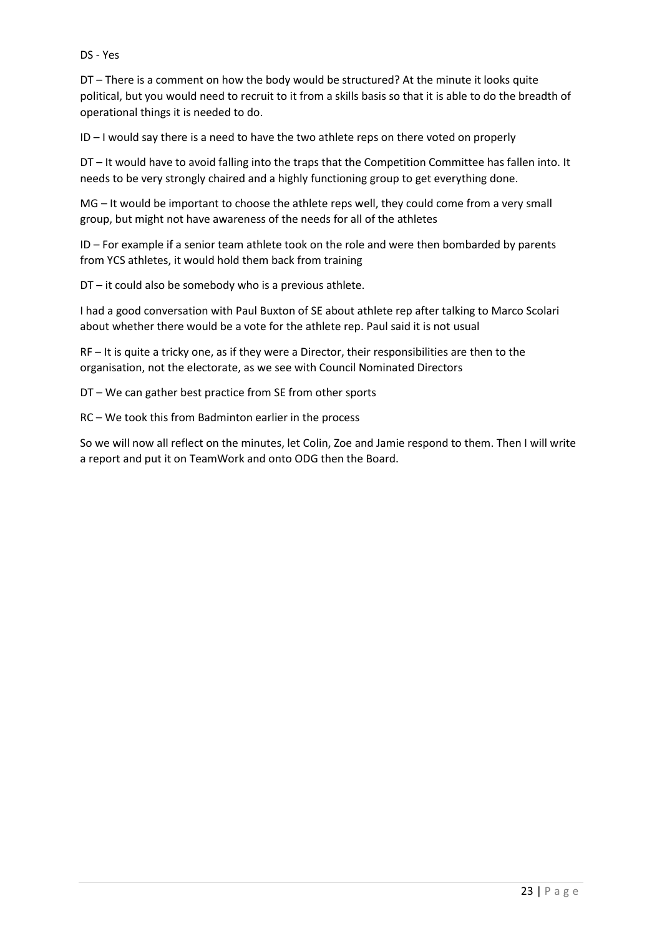#### DS - Yes

DT – There is a comment on how the body would be structured? At the minute it looks quite political, but you would need to recruit to it from a skills basis so that it is able to do the breadth of operational things it is needed to do.

ID – I would say there is a need to have the two athlete reps on there voted on properly

DT – It would have to avoid falling into the traps that the Competition Committee has fallen into. It needs to be very strongly chaired and a highly functioning group to get everything done.

MG – It would be important to choose the athlete reps well, they could come from a very small group, but might not have awareness of the needs for all of the athletes

ID – For example if a senior team athlete took on the role and were then bombarded by parents from YCS athletes, it would hold them back from training

DT – it could also be somebody who is a previous athlete.

I had a good conversation with Paul Buxton of SE about athlete rep after talking to Marco Scolari about whether there would be a vote for the athlete rep. Paul said it is not usual

RF – It is quite a tricky one, as if they were a Director, their responsibilities are then to the organisation, not the electorate, as we see with Council Nominated Directors

DT – We can gather best practice from SE from other sports

RC – We took this from Badminton earlier in the process

So we will now all reflect on the minutes, let Colin, Zoe and Jamie respond to them. Then I will write a report and put it on TeamWork and onto ODG then the Board.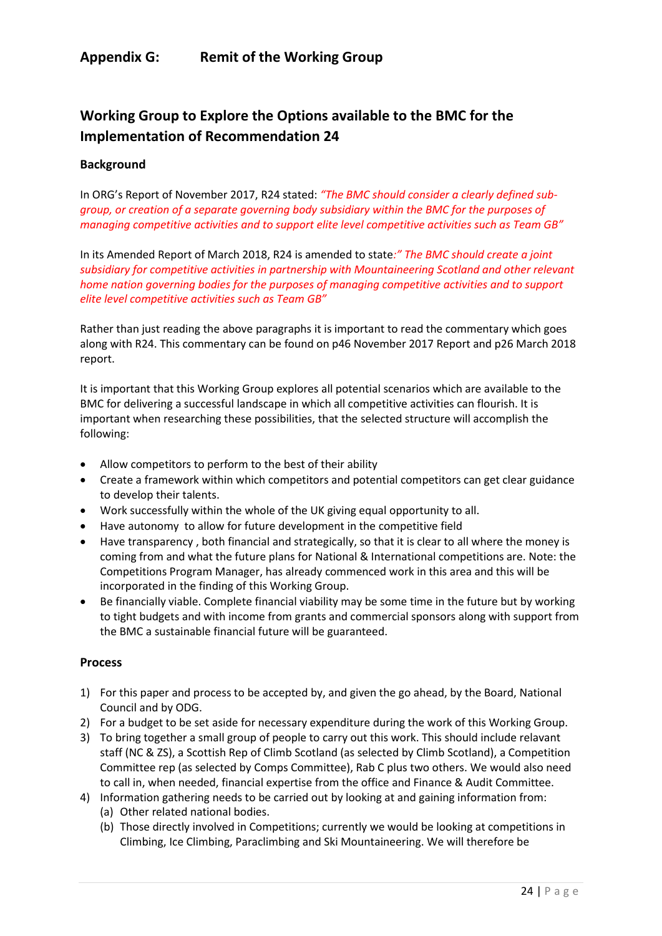## **Appendix G: Remit of the Working Group**

# **Working Group to Explore the Options available to the BMC for the Implementation of Recommendation 24**

#### **Background**

In ORG's Report of November 2017, R24 stated: *"The BMC should consider a clearly defined subgroup, or creation of a separate governing body subsidiary within the BMC for the purposes of managing competitive activities and to support elite level competitive activities such as Team GB"*

In its Amended Report of March 2018, R24 is amended to state*:" The BMC should create a joint subsidiary for competitive activities in partnership with Mountaineering Scotland and other relevant home nation governing bodies for the purposes of managing competitive activities and to support elite level competitive activities such as Team GB"*

Rather than just reading the above paragraphs it is important to read the commentary which goes along with R24. This commentary can be found on p46 November 2017 Report and p26 March 2018 report.

It is important that this Working Group explores all potential scenarios which are available to the BMC for delivering a successful landscape in which all competitive activities can flourish. It is important when researching these possibilities, that the selected structure will accomplish the following:

- Allow competitors to perform to the best of their ability
- Create a framework within which competitors and potential competitors can get clear guidance to develop their talents.
- Work successfully within the whole of the UK giving equal opportunity to all.
- Have autonomy to allow for future development in the competitive field
- Have transparency , both financial and strategically, so that it is clear to all where the money is coming from and what the future plans for National & International competitions are. Note: the Competitions Program Manager, has already commenced work in this area and this will be incorporated in the finding of this Working Group.
- Be financially viable. Complete financial viability may be some time in the future but by working to tight budgets and with income from grants and commercial sponsors along with support from the BMC a sustainable financial future will be guaranteed.

#### **Process**

- 1) For this paper and process to be accepted by, and given the go ahead, by the Board, National Council and by ODG.
- 2) For a budget to be set aside for necessary expenditure during the work of this Working Group.
- 3) To bring together a small group of people to carry out this work. This should include relavant staff (NC & ZS), a Scottish Rep of Climb Scotland (as selected by Climb Scotland), a Competition Committee rep (as selected by Comps Committee), Rab C plus two others. We would also need to call in, when needed, financial expertise from the office and Finance & Audit Committee.
- 4) Information gathering needs to be carried out by looking at and gaining information from: (a) Other related national bodies.
	- (b) Those directly involved in Competitions; currently we would be looking at competitions in Climbing, Ice Climbing, Paraclimbing and Ski Mountaineering. We will therefore be